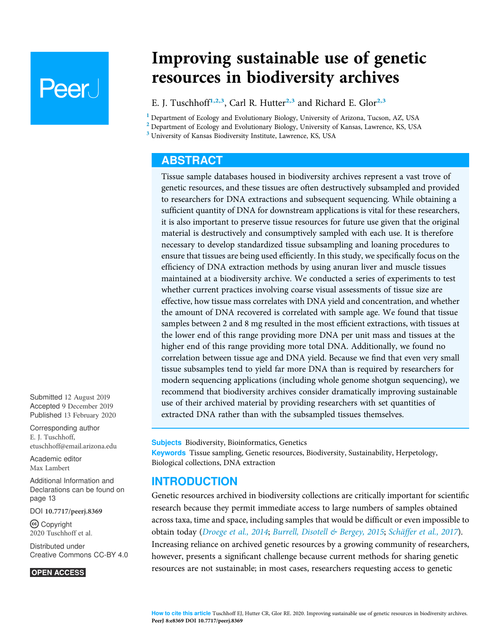# **Peer**

Improving sustainable use of genetic resources in biodiversity archives

E. J. Tuschhoff<sup>[1,](#page-0-0)[2,](#page-0-1)[3](#page-0-2)</sup>, Carl R. Hutter<sup>2,3</sup> and Richard E. Glor<sup>2,3</sup>

<span id="page-0-0"></span><sup>1</sup> Department of Ecology and Evolutionary Biology, University of Arizona, Tucson, AZ, USA

<span id="page-0-1"></span><sup>2</sup> Department of Ecology and Evolutionary Biology, University of Kansas, Lawrence, KS, USA

<span id="page-0-2"></span><sup>3</sup> University of Kansas Biodiversity Institute, Lawrence, KS, USA

## ABSTRACT

Tissue sample databases housed in biodiversity archives represent a vast trove of genetic resources, and these tissues are often destructively subsampled and provided to researchers for DNA extractions and subsequent sequencing. While obtaining a sufficient quantity of DNA for downstream applications is vital for these researchers, it is also important to preserve tissue resources for future use given that the original material is destructively and consumptively sampled with each use. It is therefore necessary to develop standardized tissue subsampling and loaning procedures to ensure that tissues are being used efficiently. In this study, we specifically focus on the efficiency of DNA extraction methods by using anuran liver and muscle tissues maintained at a biodiversity archive. We conducted a series of experiments to test whether current practices involving coarse visual assessments of tissue size are effective, how tissue mass correlates with DNA yield and concentration, and whether the amount of DNA recovered is correlated with sample age. We found that tissue samples between 2 and 8 mg resulted in the most efficient extractions, with tissues at the lower end of this range providing more DNA per unit mass and tissues at the higher end of this range providing more total DNA. Additionally, we found no correlation between tissue age and DNA yield. Because we find that even very small tissue subsamples tend to yield far more DNA than is required by researchers for modern sequencing applications (including whole genome shotgun sequencing), we recommend that biodiversity archives consider dramatically improving sustainable use of their archived material by providing researchers with set quantities of extracted DNA rather than with the subsampled tissues themselves.

**Subjects** Biodiversity, Bioinformatics, Genetics Keywords Tissue sampling, Genetic resources, Biodiversity, Sustainability, Herpetology, Biological collections, DNA extraction

## INTRODUCTION

Genetic resources archived in biodiversity collections are critically important for scientific research because they permit immediate access to large numbers of samples obtained across taxa, time and space, including samples that would be difficult or even impossible to obtain today ([Droege et al., 2014](#page-13-0); [Burrell, Disotell & Bergey, 2015](#page-13-1); [Schäffer et al., 2017](#page-13-2)). Increasing reliance on archived genetic resources by a growing community of researchers, however, presents a significant challenge because current methods for sharing genetic resources are not sustainable; in most cases, researchers requesting access to genetic

Submitted 12 August 2019 Accepted 9 December 2019 Published 13 February 2020

Corresponding author E. J. Tuschhoff, [etuschhoff@email.arizona.edu](mailto:etuschhoff@�email.�arizona.�edu)

[Academic editor](https://peerj.com/academic-boards/editors/) [Max Lambert](https://peerj.com/academic-boards/editors/)

[Additional Information and](#page-12-0) [Declarations can be found on](#page-12-0) [page 13](#page-12-0)

DOI [10.7717/peerj.8369](http://dx.doi.org/10.7717/peerj.8369)

(cc) Copyright 2020 Tuschhoff et al.

[Distributed under](http://www.creativecommons.org/licenses/by/4.0/) [Creative Commons CC-BY 4.0](http://www.creativecommons.org/licenses/by/4.0/)

#### **OPEN ACCESS**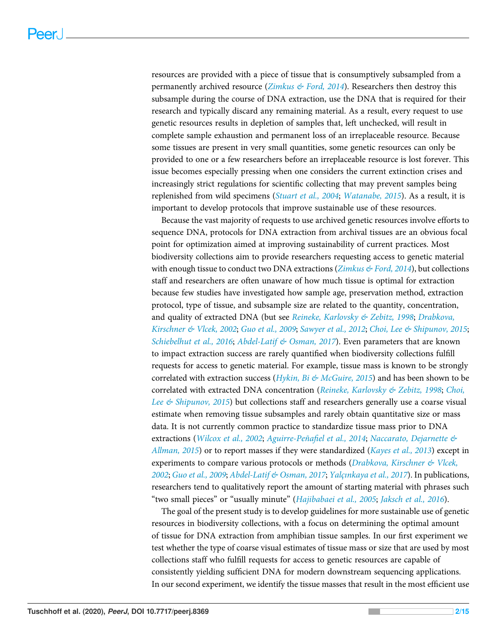resources are provided with a piece of tissue that is consumptively subsampled from a permanently archived resource ([Zimkus & Ford, 2014](#page-14-0)). Researchers then destroy this subsample during the course of DNA extraction, use the DNA that is required for their research and typically discard any remaining material. As a result, every request to use genetic resources results in depletion of samples that, left unchecked, will result in complete sample exhaustion and permanent loss of an irreplaceable resource. Because some tissues are present in very small quantities, some genetic resources can only be provided to one or a few researchers before an irreplaceable resource is lost forever. This issue becomes especially pressing when one considers the current extinction crises and increasingly strict regulations for scientific collecting that may prevent samples being replenished from wild specimens ([Stuart et al., 2004](#page-14-1); [Watanabe, 2015](#page-14-2)). As a result, it is important to develop protocols that improve sustainable use of these resources.

Because the vast majority of requests to use archived genetic resources involve efforts to sequence DNA, protocols for DNA extraction from archival tissues are an obvious focal point for optimization aimed at improving sustainability of current practices. Most biodiversity collections aim to provide researchers requesting access to genetic material with enough tissue to conduct two DNA extractions (*[Zimkus & Ford, 2014](#page-14-0)*), but collections staff and researchers are often unaware of how much tissue is optimal for extraction because few studies have investigated how sample age, preservation method, extraction protocol, type of tissue, and subsample size are related to the quantity, concentration, and quality of extracted DNA (but see [Reineke, Karlovsky & Zebitz, 1998](#page-13-3); [Drabkova,](#page-13-4) [Kirschner & Vlcek, 2002](#page-13-4); [Guo et al., 2009](#page-13-5); [Sawyer et al., 2012](#page-13-6); [Choi, Lee & Shipunov, 2015](#page-13-7); [Schiebelhut et al., 2016](#page-14-3); [Abdel-Latif & Osman, 2017](#page-12-1)). Even parameters that are known to impact extraction success are rarely quantified when biodiversity collections fulfill requests for access to genetic material. For example, tissue mass is known to be strongly correlated with extraction success (*[Hykin, Bi & McGuire, 2015](#page-13-8)*) and has been shown to be correlated with extracted DNA concentration ([Reineke, Karlovsky & Zebitz, 1998](#page-13-3); [Choi,](#page-13-7) Lee  $\&$  Shipunov, 2015) but collections staff and researchers generally use a coarse visual estimate when removing tissue subsamples and rarely obtain quantitative size or mass data. It is not currently common practice to standardize tissue mass prior to DNA extractions ([Wilcox et al., 2002](#page-14-4); Aguirre-Peñafi[el et al., 2014](#page-12-2); [Naccarato, Dejarnette &](#page-13-9) [Allman, 2015](#page-13-9)) or to report masses if they were standardized ([Kayes et al., 2013](#page-13-10)) except in experiments to compare various protocols or methods (*Drabkova, Kirschner & Vlcek*, [2002](#page-13-4); [Guo et al., 2009](#page-13-5); [Abdel-Latif & Osman, 2017](#page-12-1); Yalçı[nkaya et al., 2017](#page-14-5)). In publications, researchers tend to qualitatively report the amount of starting material with phrases such "two small pieces" or "usually minute" ([Hajibabaei et al., 2005](#page-13-11); [Jaksch et al., 2016](#page-13-12)).

The goal of the present study is to develop guidelines for more sustainable use of genetic resources in biodiversity collections, with a focus on determining the optimal amount of tissue for DNA extraction from amphibian tissue samples. In our first experiment we test whether the type of coarse visual estimates of tissue mass or size that are used by most collections staff who fulfill requests for access to genetic resources are capable of consistently yielding sufficient DNA for modern downstream sequencing applications. In our second experiment, we identify the tissue masses that result in the most efficient use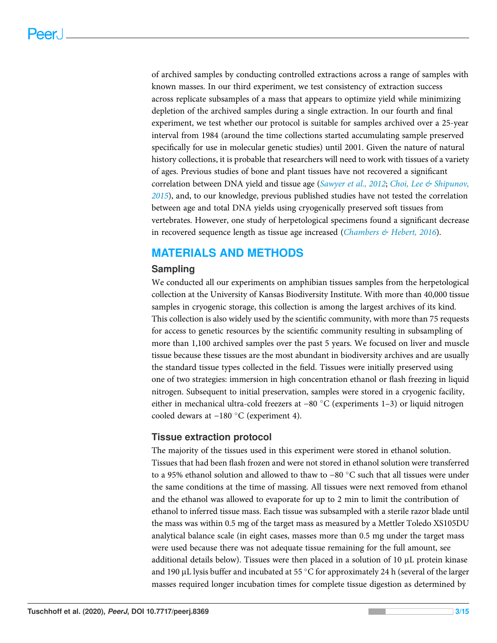of archived samples by conducting controlled extractions across a range of samples with known masses. In our third experiment, we test consistency of extraction success across replicate subsamples of a mass that appears to optimize yield while minimizing depletion of the archived samples during a single extraction. In our fourth and final experiment, we test whether our protocol is suitable for samples archived over a 25-year interval from 1984 (around the time collections started accumulating sample preserved specifically for use in molecular genetic studies) until 2001. Given the nature of natural history collections, it is probable that researchers will need to work with tissues of a variety of ages. Previous studies of bone and plant tissues have not recovered a significant correlation between DNA yield and tissue age ([Sawyer et al., 2012](#page-13-6); Choi, Lee  $\&$  Shipunov, [2015](#page-13-7)), and, to our knowledge, previous published studies have not tested the correlation between age and total DNA yields using cryogenically preserved soft tissues from vertebrates. However, one study of herpetological specimens found a significant decrease in recovered sequence length as tissue age increased ([Chambers & Hebert, 2016](#page-13-13)).

# MATERIALS AND METHODS

#### Sampling

We conducted all our experiments on amphibian tissues samples from the herpetological collection at the University of Kansas Biodiversity Institute. With more than 40,000 tissue samples in cryogenic storage, this collection is among the largest archives of its kind. This collection is also widely used by the scientific community, with more than 75 requests for access to genetic resources by the scientific community resulting in subsampling of more than 1,100 archived samples over the past 5 years. We focused on liver and muscle tissue because these tissues are the most abundant in biodiversity archives and are usually the standard tissue types collected in the field. Tissues were initially preserved using one of two strategies: immersion in high concentration ethanol or flash freezing in liquid nitrogen. Subsequent to initial preservation, samples were stored in a cryogenic facility, either in mechanical ultra-cold freezers at −80 °C (experiments 1–3) or liquid nitrogen cooled dewars at −180 °C (experiment 4).

#### Tissue extraction protocol

The majority of the tissues used in this experiment were stored in ethanol solution. Tissues that had been flash frozen and were not stored in ethanol solution were transferred to a 95% ethanol solution and allowed to thaw to −80 °C such that all tissues were under the same conditions at the time of massing. All tissues were next removed from ethanol and the ethanol was allowed to evaporate for up to 2 min to limit the contribution of ethanol to inferred tissue mass. Each tissue was subsampled with a sterile razor blade until the mass was within 0.5 mg of the target mass as measured by a Mettler Toledo XS105DU analytical balance scale (in eight cases, masses more than 0.5 mg under the target mass were used because there was not adequate tissue remaining for the full amount, see additional details below). Tissues were then placed in a solution of  $10 \mu L$  protein kinase and 190 µL lysis buffer and incubated at 55  $\degree$ C for approximately 24 h (several of the larger masses required longer incubation times for complete tissue digestion as determined by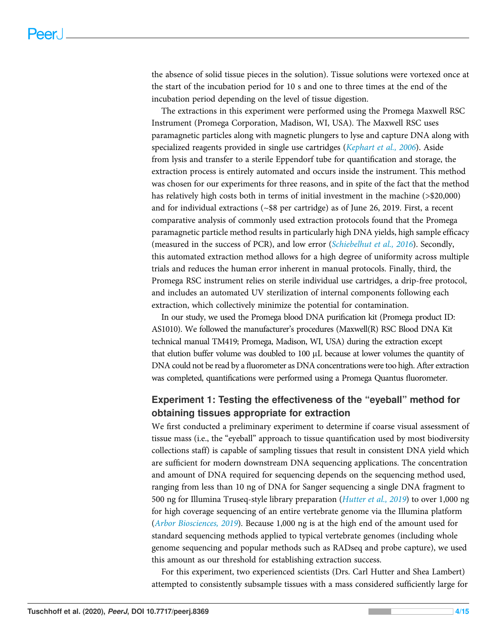the absence of solid tissue pieces in the solution). Tissue solutions were vortexed once at the start of the incubation period for 10 s and one to three times at the end of the incubation period depending on the level of tissue digestion.

The extractions in this experiment were performed using the Promega Maxwell RSC Instrument (Promega Corporation, Madison, WI, USA). The Maxwell RSC uses paramagnetic particles along with magnetic plungers to lyse and capture DNA along with specialized reagents provided in single use cartridges ([Kephart et al., 2006](#page-13-14)). Aside from lysis and transfer to a sterile Eppendorf tube for quantification and storage, the extraction process is entirely automated and occurs inside the instrument. This method was chosen for our experiments for three reasons, and in spite of the fact that the method has relatively high costs both in terms of initial investment in the machine (>\$20,000) and for individual extractions (~\$8 per cartridge) as of June 26, 2019. First, a recent comparative analysis of commonly used extraction protocols found that the Promega paramagnetic particle method results in particularly high DNA yields, high sample efficacy (measured in the success of PCR), and low error ([Schiebelhut et al., 2016](#page-14-3)). Secondly, this automated extraction method allows for a high degree of uniformity across multiple trials and reduces the human error inherent in manual protocols. Finally, third, the Promega RSC instrument relies on sterile individual use cartridges, a drip-free protocol, and includes an automated UV sterilization of internal components following each extraction, which collectively minimize the potential for contamination.

In our study, we used the Promega blood DNA purification kit (Promega product ID: AS1010). We followed the manufacturer's procedures (Maxwell(R) RSC Blood DNA Kit technical manual TM419; Promega, Madison, WI, USA) during the extraction except that elution buffer volume was doubled to  $100 \mu L$  because at lower volumes the quantity of DNA could not be read by a fluorometer as DNA concentrations were too high. After extraction was completed, quantifications were performed using a Promega Quantus fluorometer.

## Experiment 1: Testing the effectiveness of the "eyeball" method for obtaining tissues appropriate for extraction

We first conducted a preliminary experiment to determine if coarse visual assessment of tissue mass (i.e., the "eyeball" approach to tissue quantification used by most biodiversity collections staff) is capable of sampling tissues that result in consistent DNA yield which are sufficient for modern downstream DNA sequencing applications. The concentration and amount of DNA required for sequencing depends on the sequencing method used, ranging from less than 10 ng of DNA for Sanger sequencing a single DNA fragment to 500 ng for Illumina Truseq-style library preparation (*[Hutter et al., 2019](#page-13-15)*) to over 1,000 ng for high coverage sequencing of an entire vertebrate genome via the Illumina platform ([Arbor Biosciences, 2019](#page-12-3)). Because 1,000 ng is at the high end of the amount used for standard sequencing methods applied to typical vertebrate genomes (including whole genome sequencing and popular methods such as RADseq and probe capture), we used this amount as our threshold for establishing extraction success.

For this experiment, two experienced scientists (Drs. Carl Hutter and Shea Lambert) attempted to consistently subsample tissues with a mass considered sufficiently large for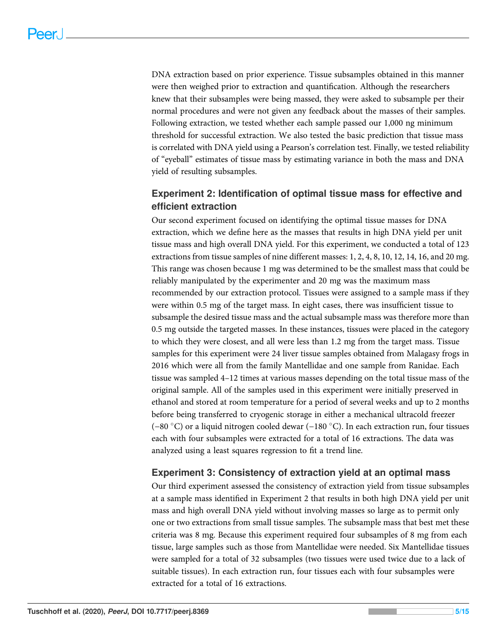DNA extraction based on prior experience. Tissue subsamples obtained in this manner were then weighed prior to extraction and quantification. Although the researchers knew that their subsamples were being massed, they were asked to subsample per their normal procedures and were not given any feedback about the masses of their samples. Following extraction, we tested whether each sample passed our 1,000 ng minimum threshold for successful extraction. We also tested the basic prediction that tissue mass is correlated with DNA yield using a Pearson's correlation test. Finally, we tested reliability of "eyeball" estimates of tissue mass by estimating variance in both the mass and DNA yield of resulting subsamples.

## Experiment 2: Identification of optimal tissue mass for effective and efficient extraction

Our second experiment focused on identifying the optimal tissue masses for DNA extraction, which we define here as the masses that results in high DNA yield per unit tissue mass and high overall DNA yield. For this experiment, we conducted a total of 123 extractions from tissue samples of nine different masses: 1, 2, 4, 8, 10, 12, 14, 16, and 20 mg. This range was chosen because 1 mg was determined to be the smallest mass that could be reliably manipulated by the experimenter and 20 mg was the maximum mass recommended by our extraction protocol. Tissues were assigned to a sample mass if they were within 0.5 mg of the target mass. In eight cases, there was insufficient tissue to subsample the desired tissue mass and the actual subsample mass was therefore more than 0.5 mg outside the targeted masses. In these instances, tissues were placed in the category to which they were closest, and all were less than 1.2 mg from the target mass. Tissue samples for this experiment were 24 liver tissue samples obtained from Malagasy frogs in 2016 which were all from the family Mantellidae and one sample from Ranidae. Each tissue was sampled 4–12 times at various masses depending on the total tissue mass of the original sample. All of the samples used in this experiment were initially preserved in ethanol and stored at room temperature for a period of several weeks and up to 2 months before being transferred to cryogenic storage in either a mechanical ultracold freezer (−80 °C) or a liquid nitrogen cooled dewar (−180 °C). In each extraction run, four tissues each with four subsamples were extracted for a total of 16 extractions. The data was analyzed using a least squares regression to fit a trend line.

#### Experiment 3: Consistency of extraction yield at an optimal mass

Our third experiment assessed the consistency of extraction yield from tissue subsamples at a sample mass identified in Experiment 2 that results in both high DNA yield per unit mass and high overall DNA yield without involving masses so large as to permit only one or two extractions from small tissue samples. The subsample mass that best met these criteria was 8 mg. Because this experiment required four subsamples of 8 mg from each tissue, large samples such as those from Mantellidae were needed. Six Mantellidae tissues were sampled for a total of 32 subsamples (two tissues were used twice due to a lack of suitable tissues). In each extraction run, four tissues each with four subsamples were extracted for a total of 16 extractions.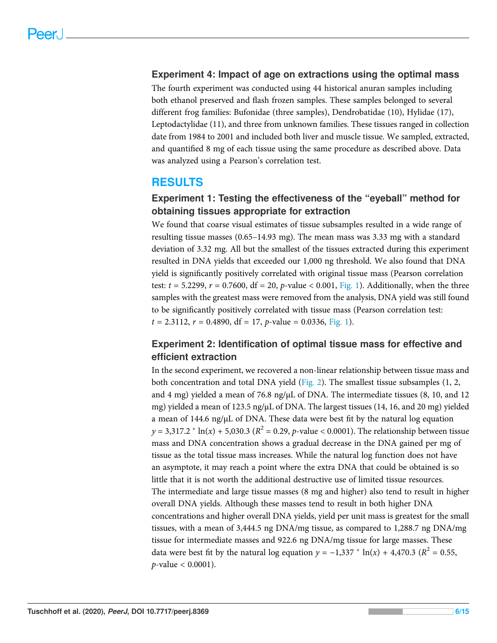#### Experiment 4: Impact of age on extractions using the optimal mass

The fourth experiment was conducted using 44 historical anuran samples including both ethanol preserved and flash frozen samples. These samples belonged to several different frog families: Bufonidae (three samples), Dendrobatidae (10), Hylidae (17), Leptodactylidae (11), and three from unknown families. These tissues ranged in collection date from 1984 to 2001 and included both liver and muscle tissue. We sampled, extracted, and quantified 8 mg of each tissue using the same procedure as described above. Data was analyzed using a Pearson's correlation test.

## RESULTS

### Experiment 1: Testing the effectiveness of the "eyeball" method for obtaining tissues appropriate for extraction

We found that coarse visual estimates of tissue subsamples resulted in a wide range of resulting tissue masses (0.65–14.93 mg). The mean mass was 3.33 mg with a standard deviation of 3.32 mg. All but the smallest of the tissues extracted during this experiment resulted in DNA yields that exceeded our 1,000 ng threshold. We also found that DNA yield is significantly positively correlated with original tissue mass (Pearson correlation test:  $t = 5.2299$ ,  $r = 0.7600$ ,  $df = 20$ ,  $p$ -value < 0.001, [Fig. 1\)](#page-6-0). Additionally, when the three samples with the greatest mass were removed from the analysis, DNA yield was still found to be significantly positively correlated with tissue mass (Pearson correlation test:  $t = 2.3112$ ,  $r = 0.4890$ , df = 17, p-value = 0.0336, [Fig. 1\)](#page-6-0).

## Experiment 2: Identification of optimal tissue mass for effective and efficient extraction

In the second experiment, we recovered a non-linear relationship between tissue mass and both concentration and total DNA yield ([Fig. 2](#page-7-0)). The smallest tissue subsamples (1, 2, and 4 mg) yielded a mean of 76.8 ng/ $\mu$ L of DNA. The intermediate tissues (8, 10, and 12 mg) yielded a mean of 123.5 ng/µL of DNA. The largest tissues (14, 16, and 20 mg) yielded a mean of 144.6 ng/µL of DNA. These data were best fit by the natural log equation  $y = 3,317.2 * ln(x) + 5,030.3 (R^2 = 0.29, p-value < 0.0001)$ . The relationship between tissue mass and DNA concentration shows a gradual decrease in the DNA gained per mg of tissue as the total tissue mass increases. While the natural log function does not have an asymptote, it may reach a point where the extra DNA that could be obtained is so little that it is not worth the additional destructive use of limited tissue resources. The intermediate and large tissue masses (8 mg and higher) also tend to result in higher overall DNA yields. Although these masses tend to result in both higher DNA concentrations and higher overall DNA yields, yield per unit mass is greatest for the small tissues, with a mean of 3,444.5 ng DNA/mg tissue, as compared to 1,288.7 ng DNA/mg tissue for intermediate masses and 922.6 ng DNA/mg tissue for large masses. These data were best fit by the natural log equation  $y = -1,337 * \ln(x) + 4,470.3$  ( $R^2 = 0.55$ ,  $p$ -value < 0.0001).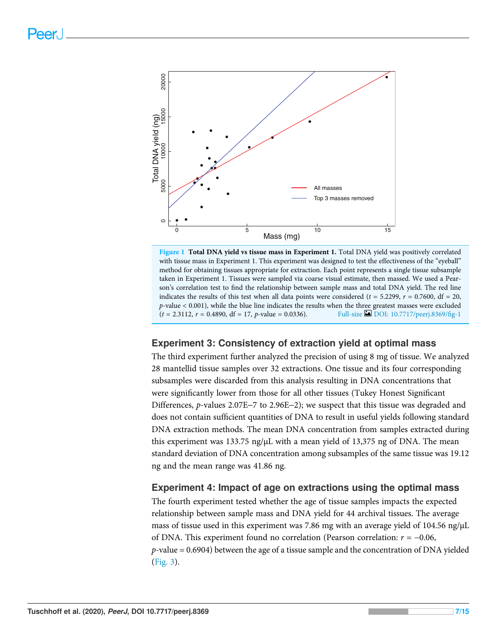<span id="page-6-0"></span>

Figure 1 Total DNA yield vs tissue mass in Experiment 1. Total DNA yield was positively correlated with tissue mass in Experiment 1. This experiment was designed to test the effectiveness of the "eyeball" method for obtaining tissues appropriate for extraction. Each point represents a single tissue subsample taken in Experiment 1. Tissues were sampled via coarse visual estimate, then massed. We used a Pearson's correlation test to find the relationship between sample mass and total DNA yield. The red line indicates the results of this test when all data points were considered ( $t = 5.2299$ ,  $r = 0.7600$ , df = 20, p-value < 0.001), while the blue line indicates the results when the three greatest masses were excluded  $(t = 2.3112, r = 0.4890, df = 17, p-value = 0.0336).$  Full-size [DOI: 10.7717/peerj.8369/](http://dx.doi.org/10.7717/peerj.8369/fig-1)fig-1

#### Experiment 3: Consistency of extraction yield at optimal mass

The third experiment further analyzed the precision of using 8 mg of tissue. We analyzed 28 mantellid tissue samples over 32 extractions. One tissue and its four corresponding subsamples were discarded from this analysis resulting in DNA concentrations that were significantly lower from those for all other tissues (Tukey Honest Significant Differences, p-values 2.07E-7 to 2.96E-2); we suspect that this tissue was degraded and does not contain sufficient quantities of DNA to result in useful yields following standard DNA extraction methods. The mean DNA concentration from samples extracted during this experiment was 133.75 ng/ $\mu$ L with a mean yield of 13,375 ng of DNA. The mean standard deviation of DNA concentration among subsamples of the same tissue was 19.12 ng and the mean range was 41.86 ng.

#### Experiment 4: Impact of age on extractions using the optimal mass

The fourth experiment tested whether the age of tissue samples impacts the expected relationship between sample mass and DNA yield for 44 archival tissues. The average mass of tissue used in this experiment was 7.86 mg with an average yield of 104.56 ng/ $\mu$ L of DNA. This experiment found no correlation (Pearson correlation:  $r = -0.06$ ,  $p$ -value = 0.6904) between the age of a tissue sample and the concentration of DNA yielded ([Fig. 3](#page-7-1)).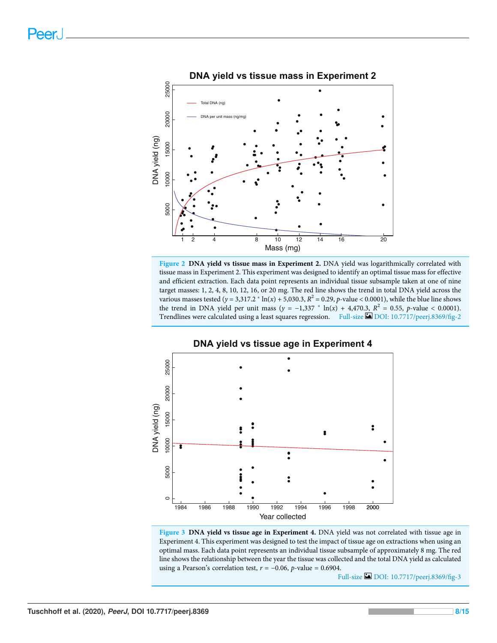<span id="page-7-0"></span>

Figure 2 DNA yield vs tissue mass in Experiment 2. DNA yield was logarithmically correlated with tissue mass in Experiment 2. This experiment was designed to identify an optimal tissue mass for effective and efficient extraction. Each data point represents an individual tissue subsample taken at one of nine target masses: 1, 2, 4, 8, 10, 12, 16, or 20 mg. The red line shows the trend in total DNA yield across the various masses tested ( $y = 3.317.2 * ln(x) + 5.030.3$ ,  $R^2 = 0.29$ , p-value < 0.0001), while the blue line shows the trend in DNA yield per unit mass  $(y = -1,337 * ln(x) + 4,470.3, R^2 = 0.55, p-value < 0.0001$ . Trendlines were calculated using a least squares regression. Full-size **[DOI: 10.7717/peerj.8369/](http://dx.doi.org/10.7717/peerj.8369/fig-2)fig-2** 

<span id="page-7-1"></span>

Figure 3 DNA yield vs tissue age in Experiment 4. DNA yield was not correlated with tissue age in Experiment 4. This experiment was designed to test the impact of tissue age on extractions when using an optimal mass. Each data point represents an individual tissue subsample of approximately 8 mg. The red line shows the relationship between the year the tissue was collected and the total DNA yield as calculated using a Pearson's correlation test,  $r = -0.06$ , p-value = 0.6904.

Full-size [DOI: 10.7717/peerj.8369/](http://dx.doi.org/10.7717/peerj.8369/fig-3)fig-3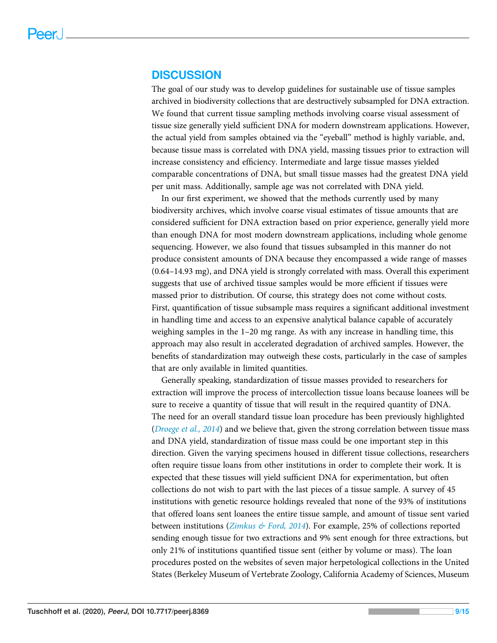#### DISCUSSION

The goal of our study was to develop guidelines for sustainable use of tissue samples archived in biodiversity collections that are destructively subsampled for DNA extraction. We found that current tissue sampling methods involving coarse visual assessment of tissue size generally yield sufficient DNA for modern downstream applications. However, the actual yield from samples obtained via the "eyeball" method is highly variable, and, because tissue mass is correlated with DNA yield, massing tissues prior to extraction will increase consistency and efficiency. Intermediate and large tissue masses yielded comparable concentrations of DNA, but small tissue masses had the greatest DNA yield per unit mass. Additionally, sample age was not correlated with DNA yield.

In our first experiment, we showed that the methods currently used by many biodiversity archives, which involve coarse visual estimates of tissue amounts that are considered sufficient for DNA extraction based on prior experience, generally yield more than enough DNA for most modern downstream applications, including whole genome sequencing. However, we also found that tissues subsampled in this manner do not produce consistent amounts of DNA because they encompassed a wide range of masses (0.64–14.93 mg), and DNA yield is strongly correlated with mass. Overall this experiment suggests that use of archived tissue samples would be more efficient if tissues were massed prior to distribution. Of course, this strategy does not come without costs. First, quantification of tissue subsample mass requires a significant additional investment in handling time and access to an expensive analytical balance capable of accurately weighing samples in the 1–20 mg range. As with any increase in handling time, this approach may also result in accelerated degradation of archived samples. However, the benefits of standardization may outweigh these costs, particularly in the case of samples that are only available in limited quantities.

Generally speaking, standardization of tissue masses provided to researchers for extraction will improve the process of intercollection tissue loans because loanees will be sure to receive a quantity of tissue that will result in the required quantity of DNA. The need for an overall standard tissue loan procedure has been previously highlighted ([Droege et al., 2014](#page-13-0)) and we believe that, given the strong correlation between tissue mass and DNA yield, standardization of tissue mass could be one important step in this direction. Given the varying specimens housed in different tissue collections, researchers often require tissue loans from other institutions in order to complete their work. It is expected that these tissues will yield sufficient DNA for experimentation, but often collections do not wish to part with the last pieces of a tissue sample. A survey of 45 institutions with genetic resource holdings revealed that none of the 93% of institutions that offered loans sent loanees the entire tissue sample, and amount of tissue sent varied between institutions ([Zimkus & Ford, 2014](#page-14-0)). For example, 25% of collections reported sending enough tissue for two extractions and 9% sent enough for three extractions, but only 21% of institutions quantified tissue sent (either by volume or mass). The loan procedures posted on the websites of seven major herpetological collections in the United States (Berkeley Museum of Vertebrate Zoology, California Academy of Sciences, Museum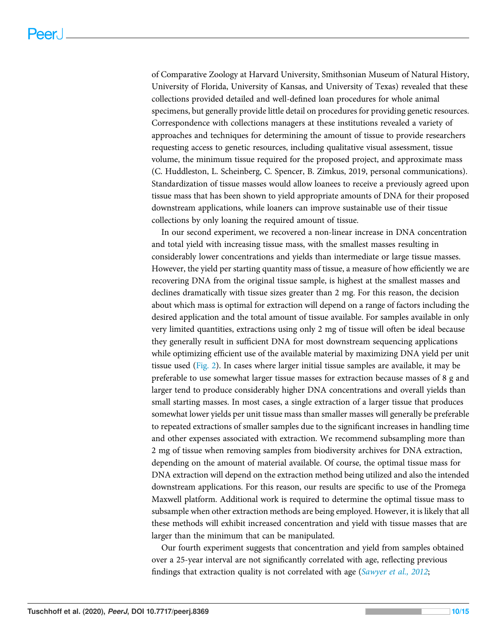of Comparative Zoology at Harvard University, Smithsonian Museum of Natural History, University of Florida, University of Kansas, and University of Texas) revealed that these collections provided detailed and well-defined loan procedures for whole animal specimens, but generally provide little detail on procedures for providing genetic resources. Correspondence with collections managers at these institutions revealed a variety of approaches and techniques for determining the amount of tissue to provide researchers requesting access to genetic resources, including qualitative visual assessment, tissue volume, the minimum tissue required for the proposed project, and approximate mass (C. Huddleston, L. Scheinberg, C. Spencer, B. Zimkus, 2019, personal communications). Standardization of tissue masses would allow loanees to receive a previously agreed upon tissue mass that has been shown to yield appropriate amounts of DNA for their proposed downstream applications, while loaners can improve sustainable use of their tissue collections by only loaning the required amount of tissue.

In our second experiment, we recovered a non-linear increase in DNA concentration and total yield with increasing tissue mass, with the smallest masses resulting in considerably lower concentrations and yields than intermediate or large tissue masses. However, the yield per starting quantity mass of tissue, a measure of how efficiently we are recovering DNA from the original tissue sample, is highest at the smallest masses and declines dramatically with tissue sizes greater than 2 mg. For this reason, the decision about which mass is optimal for extraction will depend on a range of factors including the desired application and the total amount of tissue available. For samples available in only very limited quantities, extractions using only 2 mg of tissue will often be ideal because they generally result in sufficient DNA for most downstream sequencing applications while optimizing efficient use of the available material by maximizing DNA yield per unit tissue used ([Fig. 2](#page-7-0)). In cases where larger initial tissue samples are available, it may be preferable to use somewhat larger tissue masses for extraction because masses of 8 g and larger tend to produce considerably higher DNA concentrations and overall yields than small starting masses. In most cases, a single extraction of a larger tissue that produces somewhat lower yields per unit tissue mass than smaller masses will generally be preferable to repeated extractions of smaller samples due to the significant increases in handling time and other expenses associated with extraction. We recommend subsampling more than 2 mg of tissue when removing samples from biodiversity archives for DNA extraction, depending on the amount of material available. Of course, the optimal tissue mass for DNA extraction will depend on the extraction method being utilized and also the intended downstream applications. For this reason, our results are specific to use of the Promega Maxwell platform. Additional work is required to determine the optimal tissue mass to subsample when other extraction methods are being employed. However, it is likely that all these methods will exhibit increased concentration and yield with tissue masses that are larger than the minimum that can be manipulated.

Our fourth experiment suggests that concentration and yield from samples obtained over a 25-year interval are not significantly correlated with age, reflecting previous findings that extraction quality is not correlated with age (*[Sawyer et al., 2012](#page-13-6)*;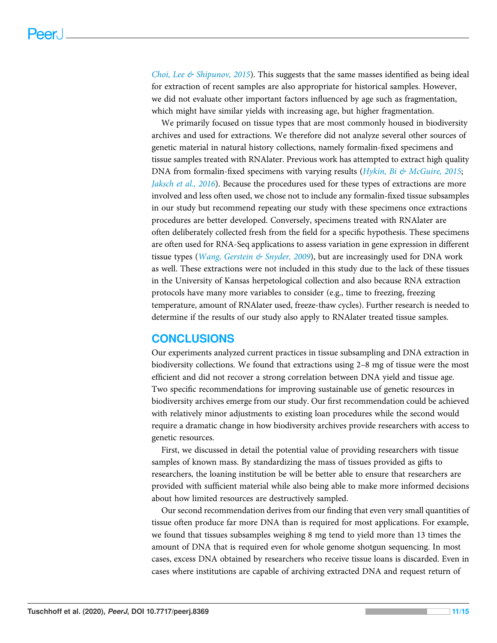Choi, Lee  $\mathcal{C}$  Shipunov, 2015). This suggests that the same masses identified as being ideal for extraction of recent samples are also appropriate for historical samples. However, we did not evaluate other important factors influenced by age such as fragmentation, which might have similar yields with increasing age, but higher fragmentation.

We primarily focused on tissue types that are most commonly housed in biodiversity archives and used for extractions. We therefore did not analyze several other sources of genetic material in natural history collections, namely formalin-fixed specimens and tissue samples treated with RNAlater. Previous work has attempted to extract high quality DNA from formalin-fixed specimens with varying results (*Hykin*, *Bi & McGuire*, 2015; [Jaksch et al., 2016](#page-13-12)). Because the procedures used for these types of extractions are more involved and less often used, we chose not to include any formalin-fixed tissue subsamples in our study but recommend repeating our study with these specimens once extractions procedures are better developed. Conversely, specimens treated with RNAlater are often deliberately collected fresh from the field for a specific hypothesis. These specimens are often used for RNA-Seq applications to assess variation in gene expression in different tissue types (*[Wang, Gerstein & Snyder, 2009](#page-14-6)*), but are increasingly used for DNA work as well. These extractions were not included in this study due to the lack of these tissues in the University of Kansas herpetological collection and also because RNA extraction protocols have many more variables to consider (e.g., time to freezing, freezing temperature, amount of RNAlater used, freeze-thaw cycles). Further research is needed to determine if the results of our study also apply to RNAlater treated tissue samples.

# **CONCLUSIONS**

Our experiments analyzed current practices in tissue subsampling and DNA extraction in biodiversity collections. We found that extractions using 2–8 mg of tissue were the most efficient and did not recover a strong correlation between DNA yield and tissue age. Two specific recommendations for improving sustainable use of genetic resources in biodiversity archives emerge from our study. Our first recommendation could be achieved with relatively minor adjustments to existing loan procedures while the second would require a dramatic change in how biodiversity archives provide researchers with access to genetic resources.

First, we discussed in detail the potential value of providing researchers with tissue samples of known mass. By standardizing the mass of tissues provided as gifts to researchers, the loaning institution be will be better able to ensure that researchers are provided with sufficient material while also being able to make more informed decisions about how limited resources are destructively sampled.

Our second recommendation derives from our finding that even very small quantities of tissue often produce far more DNA than is required for most applications. For example, we found that tissues subsamples weighing 8 mg tend to yield more than 13 times the amount of DNA that is required even for whole genome shotgun sequencing. In most cases, excess DNA obtained by researchers who receive tissue loans is discarded. Even in cases where institutions are capable of archiving extracted DNA and request return of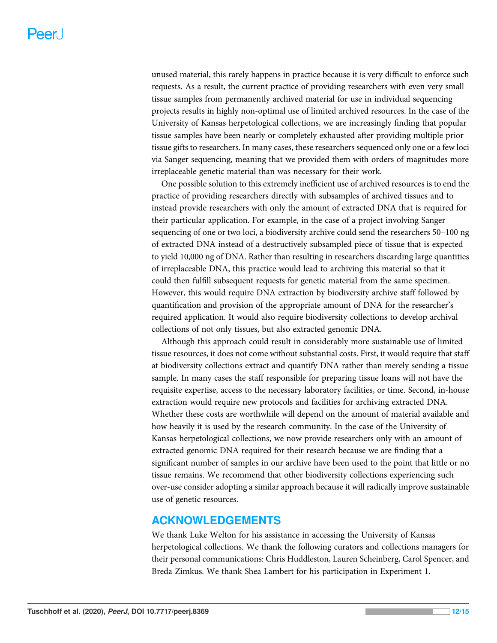unused material, this rarely happens in practice because it is very difficult to enforce such requests. As a result, the current practice of providing researchers with even very small tissue samples from permanently archived material for use in individual sequencing projects results in highly non-optimal use of limited archived resources. In the case of the University of Kansas herpetological collections, we are increasingly finding that popular tissue samples have been nearly or completely exhausted after providing multiple prior tissue gifts to researchers. In many cases, these researchers sequenced only one or a few loci via Sanger sequencing, meaning that we provided them with orders of magnitudes more irreplaceable genetic material than was necessary for their work.

One possible solution to this extremely inefficient use of archived resources is to end the practice of providing researchers directly with subsamples of archived tissues and to instead provide researchers with only the amount of extracted DNA that is required for their particular application. For example, in the case of a project involving Sanger sequencing of one or two loci, a biodiversity archive could send the researchers 50–100 ng of extracted DNA instead of a destructively subsampled piece of tissue that is expected to yield 10,000 ng of DNA. Rather than resulting in researchers discarding large quantities of irreplaceable DNA, this practice would lead to archiving this material so that it could then fulfill subsequent requests for genetic material from the same specimen. However, this would require DNA extraction by biodiversity archive staff followed by quantification and provision of the appropriate amount of DNA for the researcher's required application. It would also require biodiversity collections to develop archival collections of not only tissues, but also extracted genomic DNA.

Although this approach could result in considerably more sustainable use of limited tissue resources, it does not come without substantial costs. First, it would require that staff at biodiversity collections extract and quantify DNA rather than merely sending a tissue sample. In many cases the staff responsible for preparing tissue loans will not have the requisite expertise, access to the necessary laboratory facilities, or time. Second, in-house extraction would require new protocols and facilities for archiving extracted DNA. Whether these costs are worthwhile will depend on the amount of material available and how heavily it is used by the research community. In the case of the University of Kansas herpetological collections, we now provide researchers only with an amount of extracted genomic DNA required for their research because we are finding that a significant number of samples in our archive have been used to the point that little or no tissue remains. We recommend that other biodiversity collections experiencing such over-use consider adopting a similar approach because it will radically improve sustainable use of genetic resources.

## ACKNOWLEDGEMENTS

We thank Luke Welton for his assistance in accessing the University of Kansas herpetological collections. We thank the following curators and collections managers for their personal communications: Chris Huddleston, Lauren Scheinberg, Carol Spencer, and Breda Zimkus. We thank Shea Lambert for his participation in Experiment 1.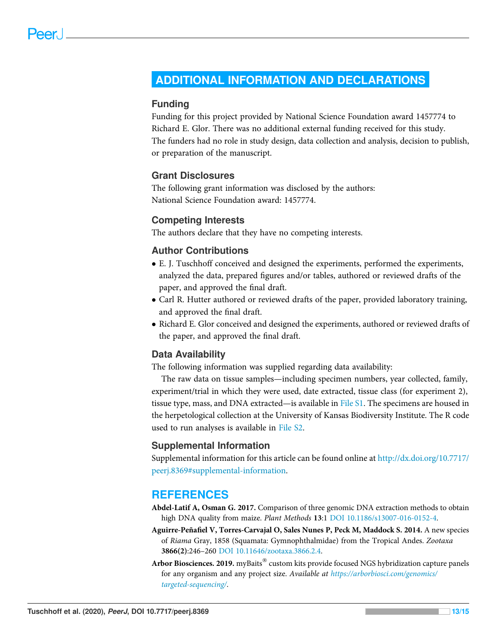# <span id="page-12-0"></span>ADDITIONAL INFORMATION AND DECLARATIONS

#### Funding

Funding for this project provided by National Science Foundation award 1457774 to Richard E. Glor. There was no additional external funding received for this study. The funders had no role in study design, data collection and analysis, decision to publish, or preparation of the manuscript.

#### Grant Disclosures

The following grant information was disclosed by the authors: National Science Foundation award: 1457774.

#### Competing Interests

The authors declare that they have no competing interests.

#### Author Contributions

- E. J. Tuschhoff conceived and designed the experiments, performed the experiments, analyzed the data, prepared figures and/or tables, authored or reviewed drafts of the paper, and approved the final draft.
- Carl R. Hutter authored or reviewed drafts of the paper, provided laboratory training, and approved the final draft.
- Richard E. Glor conceived and designed the experiments, authored or reviewed drafts of the paper, and approved the final draft.

#### Data Availability

The following information was supplied regarding data availability:

The raw data on tissue samples—including specimen numbers, year collected, family, experiment/trial in which they were used, date extracted, tissue class (for experiment 2), tissue type, mass, and DNA extracted—is available in [File S1.](http://dx.doi.org/10.7717/peerj.8369/supp-1) The specimens are housed in the herpetological collection at the University of Kansas Biodiversity Institute. The R code used to run analyses is available in [File S2.](http://dx.doi.org/10.7717/peerj.8369/supp-2)

#### Supplemental Information

Supplemental information for this article can be found online at [http://dx.doi.org/10.7717/](http://dx.doi.org/10.7717/peerj.8369#supplemental-information) [peerj.8369#supplemental-information](http://dx.doi.org/10.7717/peerj.8369#supplemental-information).

#### **REFERENCES**

- <span id="page-12-1"></span>Abdel-Latif A, Osman G. 2017. Comparison of three genomic DNA extraction methods to obtain high DNA quality from maize. Plant Methods 13:1 [DOI 10.1186/s13007-016-0152-4.](http://dx.doi.org/10.1186/s13007-016-0152-4)
- <span id="page-12-2"></span>Aguirre-Peñafiel V, Torres-Carvajal O, Sales Nunes P, Peck M, Maddock S. 2014. A new species of Riama Gray, 1858 (Squamata: Gymnophthalmidae) from the Tropical Andes. Zootaxa 3866(2):246–260 [DOI 10.11646/zootaxa.3866.2.4](http://dx.doi.org/10.11646/zootaxa.3866.2.4).
- <span id="page-12-3"></span>Arbor Biosciences. 2019. myBaits $^\circledast$  custom kits provide focused NGS hybridization capture panels for any organism and any project size. Available at [https://arborbiosci.com/genomics/](https://arborbiosci.com/genomics/targeted-sequencing/) [targeted-sequencing/](https://arborbiosci.com/genomics/targeted-sequencing/).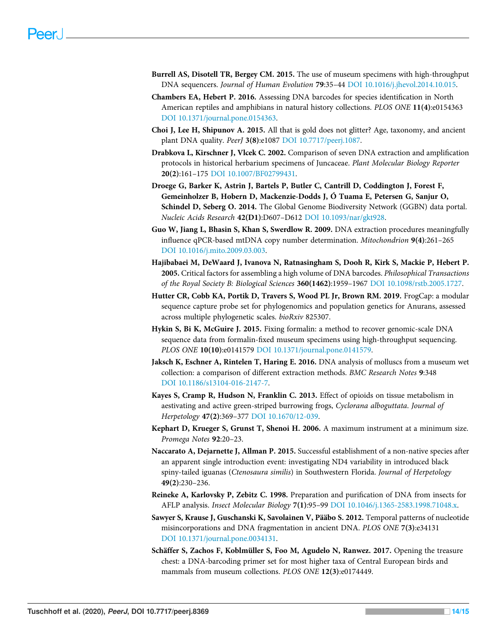- <span id="page-13-1"></span>Burrell AS, Disotell TR, Bergey CM. 2015. The use of museum specimens with high-throughput DNA sequencers. Journal of Human Evolution 79:35–44 [DOI 10.1016/j.jhevol.2014.10.015.](http://dx.doi.org/10.1016/j.jhevol.2014.10.015)
- <span id="page-13-13"></span>Chambers EA, Hebert P. 2016. Assessing DNA barcodes for species identification in North American reptiles and amphibians in natural history collections. PLOS ONE 11(4):e0154363 [DOI 10.1371/journal.pone.0154363](http://dx.doi.org/10.1371/journal.pone.0154363).
- <span id="page-13-7"></span>Choi J, Lee H, Shipunov A. 2015. All that is gold does not glitter? Age, taxonomy, and ancient plant DNA quality. PeerJ 3(8):e1087 [DOI 10.7717/peerj.1087.](http://dx.doi.org/10.7717/peerj.1087)
- <span id="page-13-4"></span>Drabkova L, Kirschner J, Vlcek C. 2002. Comparison of seven DNA extraction and amplification protocols in historical herbarium specimens of Juncaceae. Plant Molecular Biology Reporter 20(2):161–175 [DOI 10.1007/BF02799431](http://dx.doi.org/10.1007/BF02799431).
- <span id="page-13-0"></span>Droege G, Barker K, Astrin J, Bartels P, Butler C, Cantrill D, Coddington J, Forest F, Gemeinholzer B, Hobern D, Mackenzie-Dodds J, Ó Tuama E, Petersen G, Sanjur O, Schindel D, Seberg O. 2014. The Global Genome Biodiversity Network (GGBN) data portal. Nucleic Acids Research 42(D1):D607–D612 [DOI 10.1093/nar/gkt928.](http://dx.doi.org/10.1093/nar/gkt928)
- <span id="page-13-5"></span>Guo W, Jiang L, Bhasin S, Khan S, Swerdlow R. 2009. DNA extraction procedures meaningfully influence qPCR-based mtDNA copy number determination. Mitochondrion 9(4):261–265 [DOI 10.1016/j.mito.2009.03.003.](http://dx.doi.org/10.1016/j.mito.2009.03.003)
- <span id="page-13-11"></span>Hajibabaei M, DeWaard J, Ivanova N, Ratnasingham S, Dooh R, Kirk S, Mackie P, Hebert P. 2005. Critical factors for assembling a high volume of DNA barcodes. Philosophical Transactions of the Royal Society B: Biological Sciences 360(1462):1959–1967 [DOI 10.1098/rstb.2005.1727](http://dx.doi.org/10.1098/rstb.2005.1727).
- <span id="page-13-15"></span>Hutter CR, Cobb KA, Portik D, Travers S, Wood PL Jr, Brown RM. 2019. FrogCap: a modular sequence capture probe set for phylogenomics and population genetics for Anurans, assessed across multiple phylogenetic scales. bioRxiv 825307.
- <span id="page-13-8"></span>Hykin S, Bi K, McGuire J. 2015. Fixing formalin: a method to recover genomic-scale DNA sequence data from formalin-fixed museum specimens using high-throughput sequencing. PLOS ONE 10(10):e0141579 [DOI 10.1371/journal.pone.0141579.](http://dx.doi.org/10.1371/journal.pone.0141579)
- <span id="page-13-12"></span>Jaksch K, Eschner A, Rintelen T, Haring E. 2016. DNA analysis of molluscs from a museum wet collection: a comparison of different extraction methods. BMC Research Notes 9:348 [DOI 10.1186/s13104-016-2147-7](http://dx.doi.org/10.1186/s13104-016-2147-7).
- <span id="page-13-10"></span>Kayes S, Cramp R, Hudson N, Franklin C. 2013. Effect of opioids on tissue metabolism in aestivating and active green-striped burrowing frogs, Cyclorana alboguttata. Journal of Herpetology 47(2):369–377 [DOI 10.1670/12-039](http://dx.doi.org/10.1670/12-039).
- <span id="page-13-14"></span>Kephart D, Krueger S, Grunst T, Shenoi H. 2006. A maximum instrument at a minimum size. Promega Notes 92:20–23.
- <span id="page-13-9"></span>Naccarato A, Dejarnette J, Allman P. 2015. Successful establishment of a non-native species after an apparent single introduction event: investigating ND4 variability in introduced black spiny-tailed iguanas (Ctenosaura similis) in Southwestern Florida. Journal of Herpetology 49(2):230–236.
- <span id="page-13-3"></span>Reineke A, Karlovsky P, Zebitz C. 1998. Preparation and purification of DNA from insects for AFLP analysis. Insect Molecular Biology 7(1):95–99 [DOI 10.1046/j.1365-2583.1998.71048.x](http://dx.doi.org/10.1046/j.1365-2583.1998.71048.x).
- <span id="page-13-6"></span>Sawyer S, Krause J, Guschanski K, Savolainen V, Pääbo S. 2012. Temporal patterns of nucleotide misincorporations and DNA fragmentation in ancient DNA. PLOS ONE 7(3):e34131 [DOI 10.1371/journal.pone.0034131](http://dx.doi.org/10.1371/journal.pone.0034131).
- <span id="page-13-2"></span>Schäffer S, Zachos F, Koblmüller S, Foo M, Agudelo N, Ranwez. 2017. Opening the treasure chest: a DNA-barcoding primer set for most higher taxa of Central European birds and mammals from museum collections. PLOS ONE 12(3):e0174449.